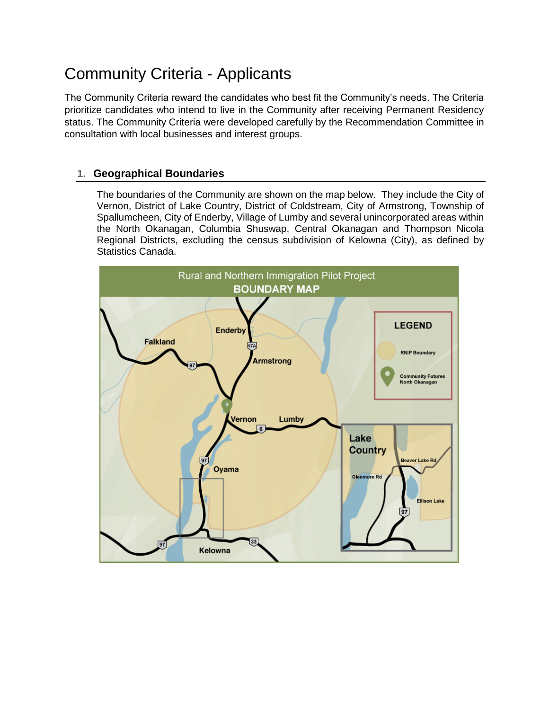# Community Criteria - Applicants

The Community Criteria reward the candidates who best fit the Community's needs. The Criteria prioritize candidates who intend to live in the Community after receiving Permanent Residency status. The Community Criteria were developed carefully by the Recommendation Committee in consultation with local businesses and interest groups.

# **1. Geographical Boundaries**

The boundaries of the Community are shown on the map below. They include the City of Vernon, District of Lake Country, District of Coldstream, City of Armstrong, Township of Spallumcheen, City of Enderby, Village of Lumby and several unincorporated areas within the North Okanagan, Columbia Shuswap, Central Okanagan and Thompson Nicola Regional Districts, excluding the census subdivision of Kelowna (City), as defined by Statistics Canada.

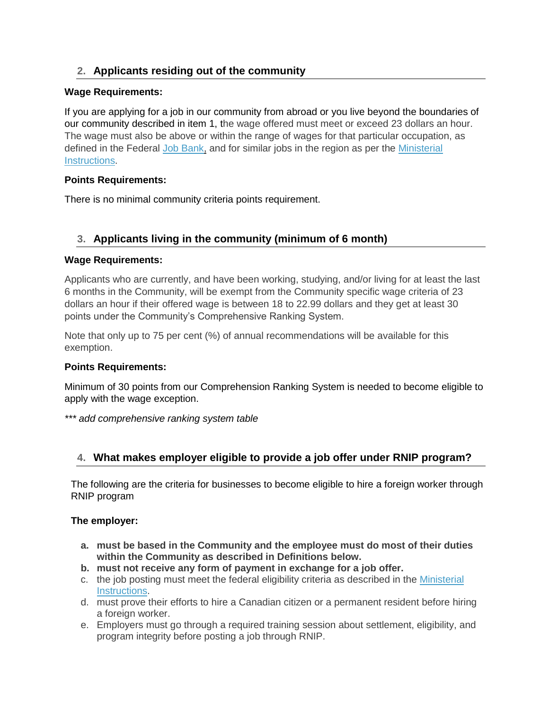# **2. Applicants residing out of the community**

## **Wage Requirements:**

If you are applying for a job in our community from abroad or you live beyond the boundaries of our community described in item 1, the wage offered must meet or exceed 23 dollars an hour. The wage must also be above or within the range of wages for that particular occupation, as defined in the Federal [Job Bank,](https://www.jobbank.gc.ca/trend-analysis/search-wages) and for similar jobs in the region as per the [Ministerial](http://canadagazette.gc.ca/rp-pr/p1/2019/2019-08-17/html/notice-avis-eng.html#nL1)  [Instructions.](http://canadagazette.gc.ca/rp-pr/p1/2019/2019-08-17/html/notice-avis-eng.html#nL1)

## **Points Requirements:**

There is no minimal community criteria points requirement.

# **3. Applicants living in the community (minimum of 6 month)**

## **Wage Requirements:**

Applicants who are currently, and have been working, studying, and/or living for at least the last 6 months in the Community, will be exempt from the Community specific wage criteria of 23 dollars an hour if their offered wage is between 18 to 22.99 dollars and they get at least 30 points under the Community's Comprehensive Ranking System.

Note that only up to 75 per cent (%) of annual recommendations will be available for this exemption.

#### **Points Requirements:**

Minimum of 30 points from our Comprehension Ranking System is needed to become eligible to apply with the wage exception.

*\*\*\* add comprehensive ranking system table*

# **4. What makes employer eligible to provide a job offer under RNIP program?**

The following are the criteria for businesses to become eligible to hire a foreign worker through RNIP program

#### **The employer:**

- **a. must be based in the Community and the employee must do most of their duties within the Community as described in Definitions below.**
- **b. must not receive any form of payment in exchange for a job offer.**
- c. the job posting must meet the federal eligibility criteria as described in the [Ministerial](http://canadagazette.gc.ca/rp-pr/p1/2019/2019-08-17/html/notice-avis-eng.html#nL1)  [Instructions.](http://canadagazette.gc.ca/rp-pr/p1/2019/2019-08-17/html/notice-avis-eng.html#nL1)
- d. must prove their efforts to hire a Canadian citizen or a permanent resident before hiring a foreign worker.
- e. Employers must go through a required training session about settlement, eligibility, and program integrity before posting a job through RNIP.